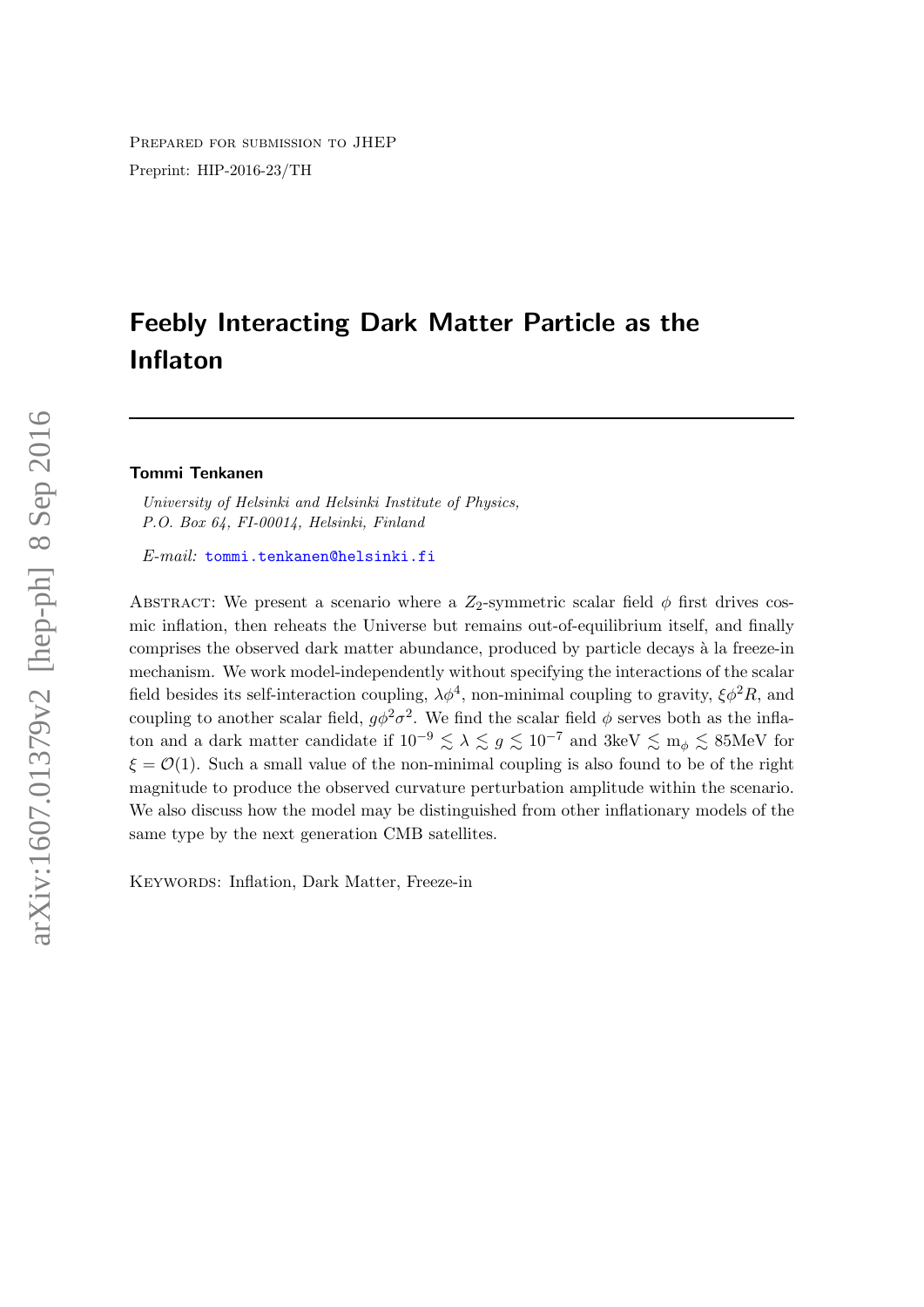Prepared for submission to JHEP Preprint: HIP-2016-23/TH

# Feebly Interacting Dark Matter Particle as the Inflaton

#### Tommi Tenkanen

University of Helsinki and Helsinki Institute of Physics, P.O. Box 64, FI-00014, Helsinki, Finland

E-mail: [tommi.tenkanen@helsinki.fi](mailto:tommi.tenkanen@helsinki.fi)

ABSTRACT: We present a scenario where a  $Z_2$ -symmetric scalar field  $\phi$  first drives cosmic inflation, then reheats the Universe but remains out-of-equilibrium itself, and finally comprises the observed dark matter abundance, produced by particle decays à la freeze-in mechanism. We work model-independently without specifying the interactions of the scalar field besides its self-interaction coupling,  $\lambda \phi^4$ , non-minimal coupling to gravity,  $\xi \phi^2 R$ , and coupling to another scalar field,  $g\phi^2\sigma^2$ . We find the scalar field  $\phi$  serves both as the inflaton and a dark matter candidate if  $10^{-9} \le \lambda \le g \le 10^{-7}$  and  $3 \text{keV} \le m_\phi \le 85 \text{MeV}$  for  $\xi = \mathcal{O}(1)$ . Such a small value of the non-minimal coupling is also found to be of the right magnitude to produce the observed curvature perturbation amplitude within the scenario. We also discuss how the model may be distinguished from other inflationary models of the same type by the next generation CMB satellites.

KEYWORDS: Inflation, Dark Matter, Freeze-in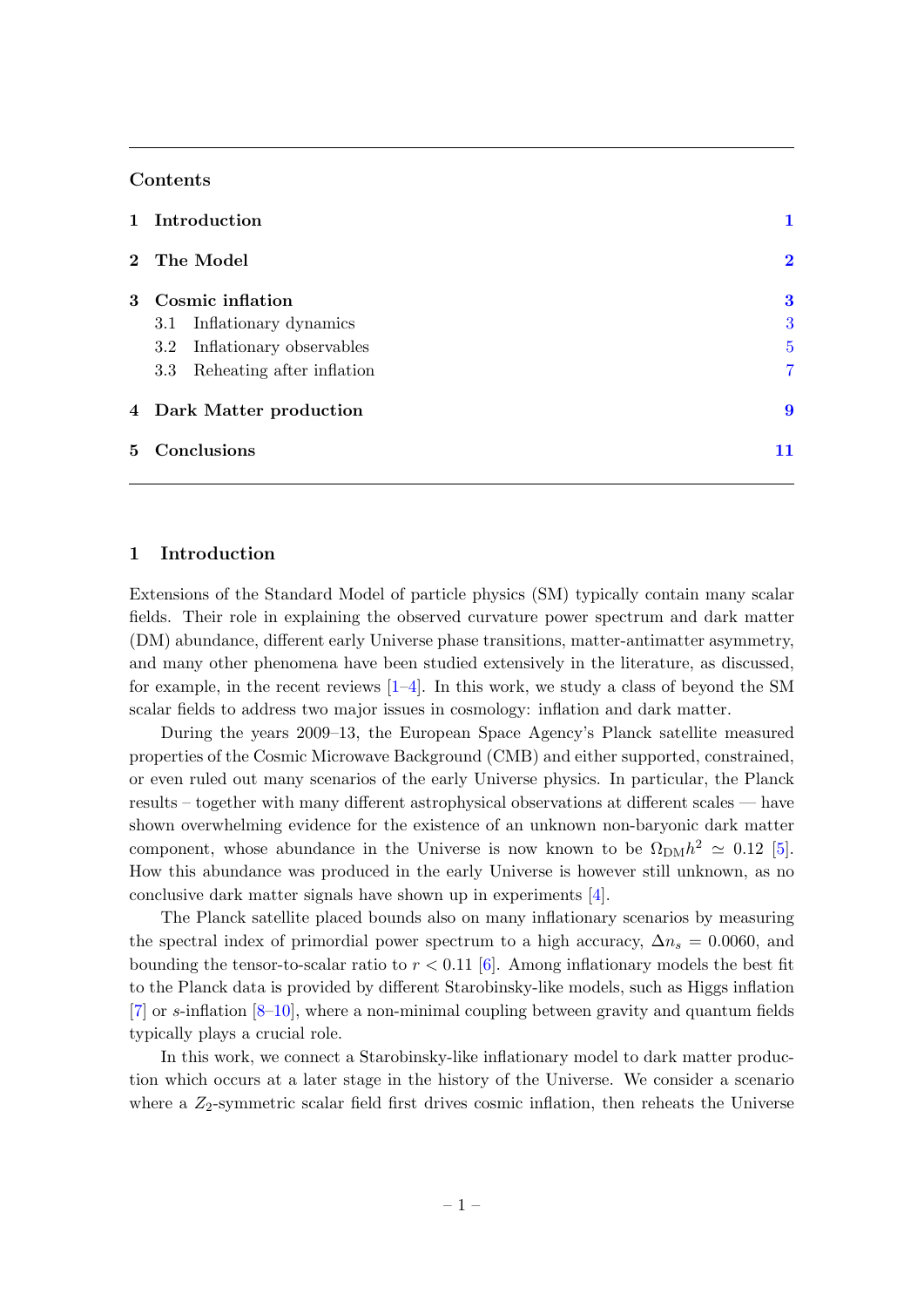## Contents

| 1 Introduction                  |                         |
|---------------------------------|-------------------------|
| 2 The Model                     | $\overline{\mathbf{2}}$ |
| 3 Cosmic inflation              | 3                       |
| 3.1 Inflationary dynamics       | 3                       |
| Inflationary observables<br>3.2 | $\overline{5}$          |
| 3.3 Reheating after inflation   | 7                       |
| 4 Dark Matter production        | 9                       |
| 5 Conclusions                   | 11                      |
|                                 |                         |

## <span id="page-1-0"></span>1 Introduction

Extensions of the Standard Model of particle physics (SM) typically contain many scalar fields. Their role in explaining the observed curvature power spectrum and dark matter (DM) abundance, different early Universe phase transitions, matter-antimatter asymmetry, and many other phenomena have been studied extensively in the literature, as discussed, for example, in the recent reviews  $[1-4]$  $[1-4]$ . In this work, we study a class of beyond the SM scalar fields to address two major issues in cosmology: inflation and dark matter.

During the years 2009–13, the European Space Agency's Planck satellite measured properties of the Cosmic Microwave Background (CMB) and either supported, constrained, or even ruled out many scenarios of the early Universe physics. In particular, the Planck results – together with many different astrophysical observations at different scales — have shown overwhelming evidence for the existence of an unknown non-baryonic dark matter component, whose abundance in the Universe is now known to be  $\Omega_{\text{DM}}h^2 \simeq 0.12$  [\[5\]](#page-12-2). How this abundance was produced in the early Universe is however still unknown, as no conclusive dark matter signals have shown up in experiments [\[4\]](#page-12-1).

The Planck satellite placed bounds also on many inflationary scenarios by measuring the spectral index of primordial power spectrum to a high accuracy,  $\Delta n_s = 0.0060$ , and bounding the tensor-to-scalar ratio to  $r < 0.11$  [\[6\]](#page-12-3). Among inflationary models the best fit to the Planck data is provided by different Starobinsky-like models, such as Higgs inflation [\[7\]](#page-12-4) or s-inflation [\[8](#page-12-5)[–10\]](#page-12-6), where a non-minimal coupling between gravity and quantum fields typically plays a crucial role.

In this work, we connect a Starobinsky-like inflationary model to dark matter production which occurs at a later stage in the history of the Universe. We consider a scenario where a  $Z_2$ -symmetric scalar field first drives cosmic inflation, then reheats the Universe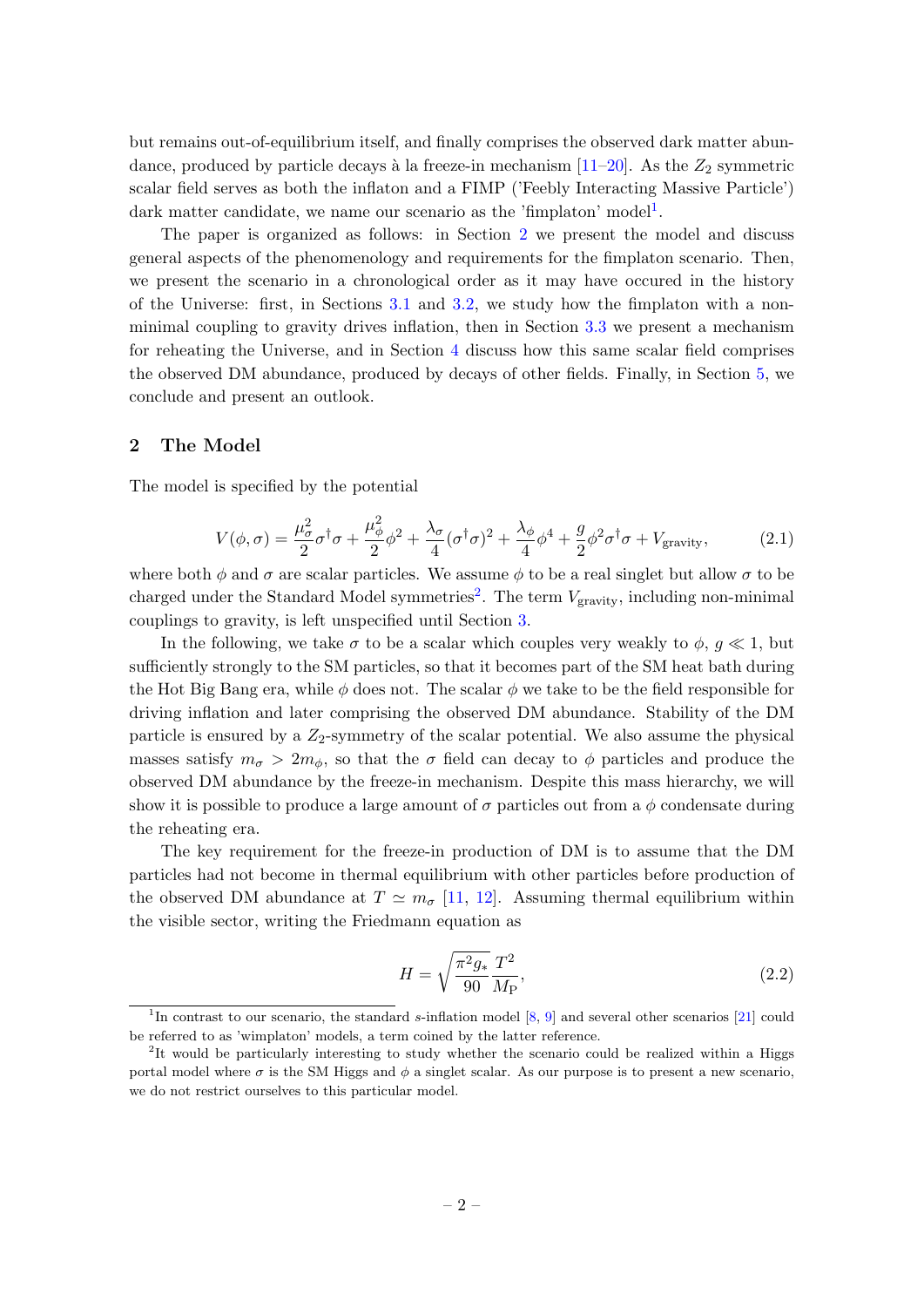but remains out-of-equilibrium itself, and finally comprises the observed dark matter abundance, produced by particle decays à la freeze-in mechanism  $[11-20]$  $[11-20]$ . As the  $Z_2$  symmetric scalar field serves as both the inflaton and a FIMP ('Feebly Interacting Massive Particle') dark matter candidate, we name our scenario as the 'fimplaton' model<sup>[1](#page-2-1)</sup>.

The paper is organized as follows: in Section [2](#page-2-0) we present the model and discuss general aspects of the phenomenology and requirements for the fimplaton scenario. Then, we present the scenario in a chronological order as it may have occured in the history of the Universe: first, in Sections [3.1](#page-3-1) and [3.2,](#page-5-0) we study how the fimplaton with a nonminimal coupling to gravity drives inflation, then in Section [3.3](#page-7-0) we present a mechanism for reheating the Universe, and in Section [4](#page-9-0) discuss how this same scalar field comprises the observed DM abundance, produced by decays of other fields. Finally, in Section [5,](#page-11-0) we conclude and present an outlook.

## <span id="page-2-0"></span>2 The Model

The model is specified by the potential

<span id="page-2-3"></span>
$$
V(\phi,\sigma) = \frac{\mu_{\sigma}^2}{2}\sigma^{\dagger}\sigma + \frac{\mu_{\phi}^2}{2}\phi^2 + \frac{\lambda_{\sigma}}{4}(\sigma^{\dagger}\sigma)^2 + \frac{\lambda_{\phi}}{4}\phi^4 + \frac{g}{2}\phi^2\sigma^{\dagger}\sigma + V_{\text{gravity}},\tag{2.1}
$$

where both  $\phi$  and  $\sigma$  are scalar particles. We assume  $\phi$  to be a real singlet but allow  $\sigma$  to be charged under the Standard Model symmetries<sup>[2](#page-2-2)</sup>. The term  $V_{\text{gravity}}$ , including non-minimal couplings to gravity, is left unspecified until Section [3.](#page-3-0)

In the following, we take  $\sigma$  to be a scalar which couples very weakly to  $\phi$ ,  $q \ll 1$ , but sufficiently strongly to the SM particles, so that it becomes part of the SM heat bath during the Hot Big Bang era, while  $\phi$  does not. The scalar  $\phi$  we take to be the field responsible for driving inflation and later comprising the observed DM abundance. Stability of the DM particle is ensured by a  $Z_2$ -symmetry of the scalar potential. We also assume the physical masses satisfy  $m_{\sigma} > 2m_{\phi}$ , so that the  $\sigma$  field can decay to  $\phi$  particles and produce the observed DM abundance by the freeze-in mechanism. Despite this mass hierarchy, we will show it is possible to produce a large amount of  $\sigma$  particles out from a  $\phi$  condensate during the reheating era.

The key requirement for the freeze-in production of DM is to assume that the DM particles had not become in thermal equilibrium with other particles before production of the observed DM abundance at  $T \simeq m_{\sigma}$  [\[11,](#page-12-7) [12\]](#page-12-9). Assuming thermal equilibrium within the visible sector, writing the Friedmann equation as

$$
H = \sqrt{\frac{\pi^2 g_*}{90}} \frac{T^2}{M_{\rm P}},\tag{2.2}
$$

<span id="page-2-1"></span><sup>&</sup>lt;sup>1</sup>In contrast to our scenario, the standard s-inflation model [\[8,](#page-12-5) [9\]](#page-12-10) and several other scenarios [\[21\]](#page-13-0) could be referred to as 'wimplaton' models, a term coined by the latter reference.

<span id="page-2-2"></span><sup>&</sup>lt;sup>2</sup>It would be particularly interesting to study whether the scenario could be realized within a Higgs portal model where  $\sigma$  is the SM Higgs and  $\phi$  a singlet scalar. As our purpose is to present a new scenario, we do not restrict ourselves to this particular model.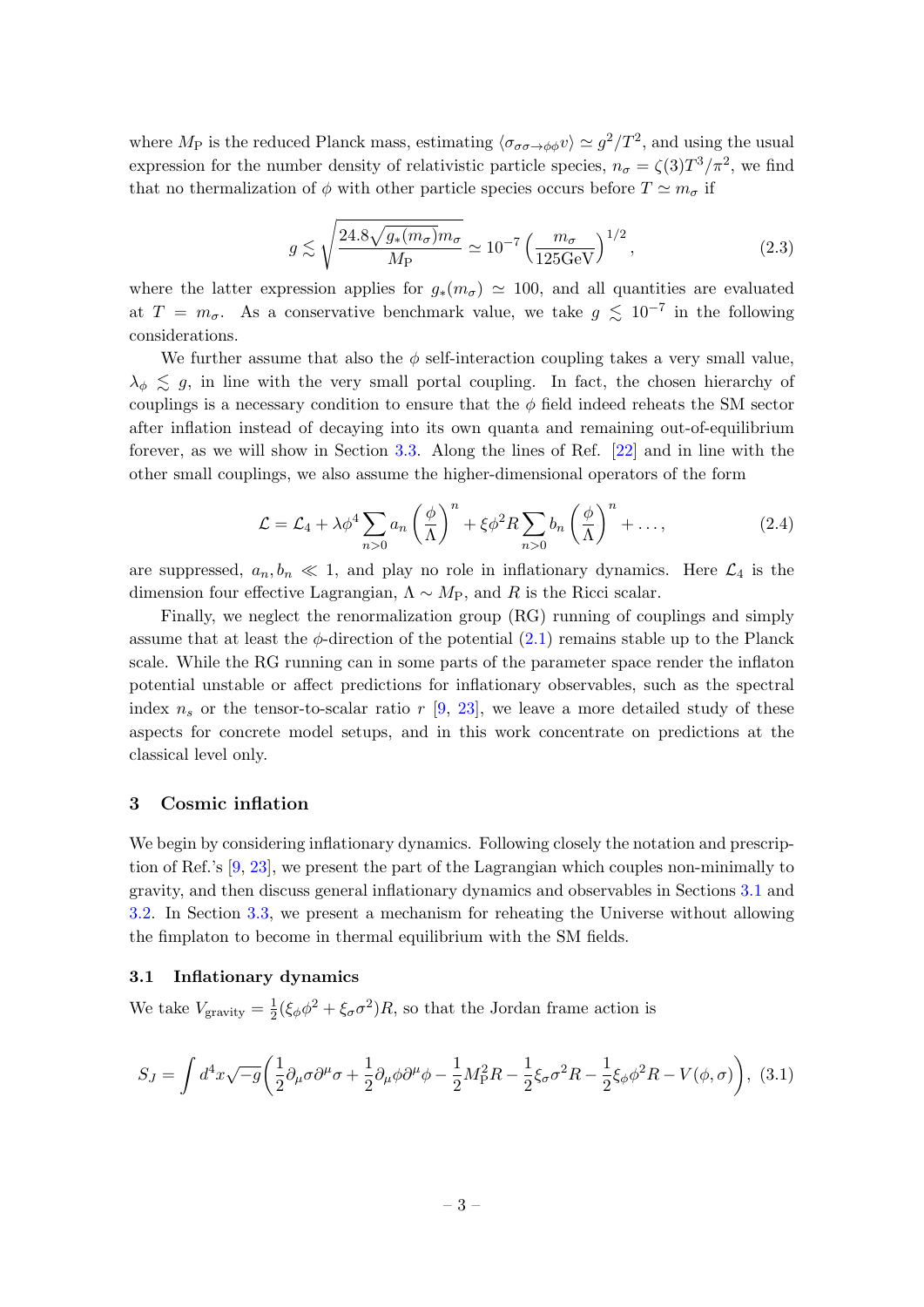where  $M_P$  is the reduced Planck mass, estimating  $\langle \sigma_{\sigma\sigma\to\phi\phi} v \rangle \simeq g^2/T^2$ , and using the usual expression for the number density of relativistic particle species,  $n_{\sigma} = \zeta(3)T^3/\pi^2$ , we find that no thermalization of  $\phi$  with other particle species occurs before  $T \simeq m_{\sigma}$  if

$$
g \lesssim \sqrt{\frac{24.8\sqrt{g_*(m_\sigma)}m_\sigma}{M_P}} \simeq 10^{-7} \left(\frac{m_\sigma}{125 \text{GeV}}\right)^{1/2},\tag{2.3}
$$

where the latter expression applies for  $g_*(m_\sigma) \simeq 100$ , and all quantities are evaluated at  $T = m_{\sigma}$ . As a conservative benchmark value, we take  $g \lesssim 10^{-7}$  in the following considerations.

We further assume that also the  $\phi$  self-interaction coupling takes a very small value,  $\lambda_{\phi} \leq g$ , in line with the very small portal coupling. In fact, the chosen hierarchy of couplings is a necessary condition to ensure that the  $\phi$  field indeed reheats the SM sector after inflation instead of decaying into its own quanta and remaining out-of-equilibrium forever, as we will show in Section [3.3.](#page-7-0) Along the lines of Ref. [\[22\]](#page-13-1) and in line with the other small couplings, we also assume the higher-dimensional operators of the form

$$
\mathcal{L} = \mathcal{L}_4 + \lambda \phi^4 \sum_{n>0} a_n \left(\frac{\phi}{\Lambda}\right)^n + \xi \phi^2 R \sum_{n>0} b_n \left(\frac{\phi}{\Lambda}\right)^n + \dots,
$$
 (2.4)

are suppressed,  $a_n, b_n \ll 1$ , and play no role in inflationary dynamics. Here  $\mathcal{L}_4$  is the dimension four effective Lagrangian,  $\Lambda \sim M_P$ , and R is the Ricci scalar.

Finally, we neglect the renormalization group (RG) running of couplings and simply assume that at least the  $\phi$ -direction of the potential  $(2.1)$  remains stable up to the Planck scale. While the RG running can in some parts of the parameter space render the inflaton potential unstable or affect predictions for inflationary observables, such as the spectral index  $n_s$  or the tensor-to-scalar ratio r [\[9,](#page-12-10) [23\]](#page-13-2), we leave a more detailed study of these aspects for concrete model setups, and in this work concentrate on predictions at the classical level only.

#### <span id="page-3-0"></span>3 Cosmic inflation

We begin by considering inflationary dynamics. Following closely the notation and prescription of Ref.'s [\[9,](#page-12-10) [23\]](#page-13-2), we present the part of the Lagrangian which couples non-minimally to gravity, and then discuss general inflationary dynamics and observables in Sections [3.1](#page-3-1) and [3.2.](#page-5-0) In Section [3.3,](#page-7-0) we present a mechanism for reheating the Universe without allowing the fimplaton to become in thermal equilibrium with the SM fields.

## <span id="page-3-1"></span>3.1 Inflationary dynamics

We take  $V_{\text{gravity}} = \frac{1}{2}$  $\frac{1}{2}(\xi_{\phi}\phi^2 + \xi_{\sigma}\sigma^2)R$ , so that the Jordan frame action is

<span id="page-3-2"></span>
$$
S_J = \int d^4x \sqrt{-g} \left( \frac{1}{2} \partial_\mu \sigma \partial^\mu \sigma + \frac{1}{2} \partial_\mu \phi \partial^\mu \phi - \frac{1}{2} M_\text{P}^2 R - \frac{1}{2} \xi_\sigma \sigma^2 R - \frac{1}{2} \xi_\phi \phi^2 R - V(\phi, \sigma) \right), \tag{3.1}
$$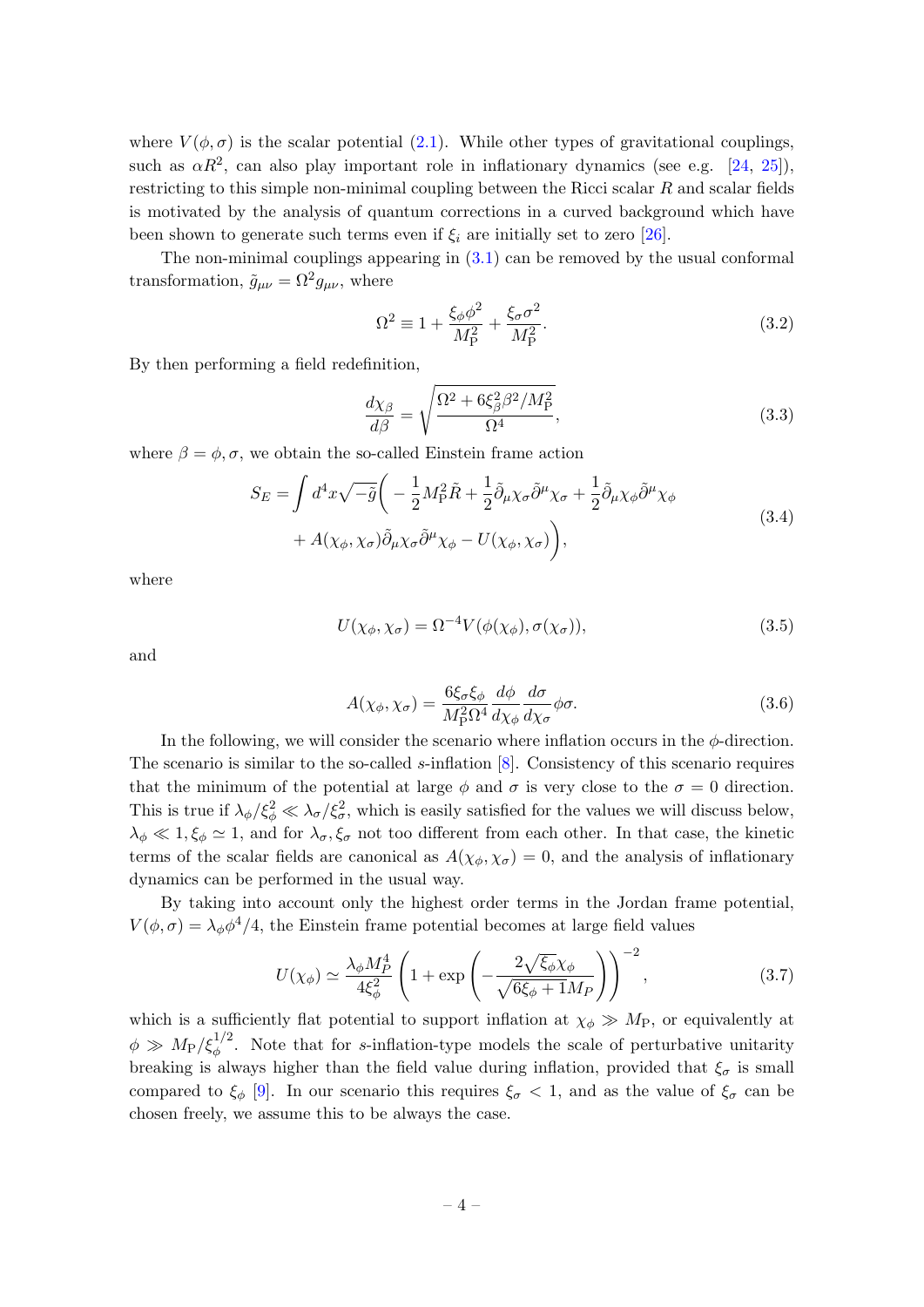where  $V(\phi, \sigma)$  is the scalar potential [\(2.1\)](#page-2-3). While other types of gravitational couplings, such as  $\alpha R^2$ , can also play important role in inflationary dynamics (see e.g. [\[24,](#page-13-3) [25\]](#page-13-4)), restricting to this simple non-minimal coupling between the Ricci scalar  $R$  and scalar fields is motivated by the analysis of quantum corrections in a curved background which have been shown to generate such terms even if  $\xi_i$  are initially set to zero [\[26\]](#page-13-5).

The non-minimal couplings appearing in  $(3.1)$  can be removed by the usual conformal transformation,  $\tilde{g}_{\mu\nu} = \Omega^2 g_{\mu\nu}$ , where

$$
\Omega^2 \equiv 1 + \frac{\xi_\phi \phi^2}{M_P^2} + \frac{\xi_\sigma \sigma^2}{M_P^2}.\tag{3.2}
$$

By then performing a field redefinition,

<span id="page-4-0"></span>
$$
\frac{d\chi_{\beta}}{d\beta} = \sqrt{\frac{\Omega^2 + 6\xi_{\beta}^2 \beta^2 / M_P^2}{\Omega^4}},\tag{3.3}
$$

where  $\beta = \phi, \sigma$ , we obtain the so-called Einstein frame action

$$
S_E = \int d^4x \sqrt{-\tilde{g}} \left( -\frac{1}{2} M_P^2 \tilde{R} + \frac{1}{2} \tilde{\partial}_\mu \chi_\sigma \tilde{\partial}^\mu \chi_\sigma + \frac{1}{2} \tilde{\partial}_\mu \chi_\phi \tilde{\partial}^\mu \chi_\phi \right. \\
\left. + A(\chi_\phi, \chi_\sigma) \tilde{\partial}_\mu \chi_\sigma \tilde{\partial}^\mu \chi_\phi - U(\chi_\phi, \chi_\sigma) \right),
$$
\n(3.4)

where

<span id="page-4-1"></span>
$$
U(\chi_{\phi}, \chi_{\sigma}) = \Omega^{-4} V(\phi(\chi_{\phi}), \sigma(\chi_{\sigma})), \tag{3.5}
$$

and

$$
A(\chi_{\phi}, \chi_{\sigma}) = \frac{6\xi_{\sigma}\xi_{\phi}}{M_{\rm P}^2 \Omega^4} \frac{d\phi}{d\chi_{\phi}} \frac{d\sigma}{d\chi_{\sigma}} \phi \sigma.
$$
 (3.6)

In the following, we will consider the scenario where inflation occurs in the  $\phi$ -direction. The scenario is similar to the so-called s-inflation [\[8\]](#page-12-5). Consistency of this scenario requires that the minimum of the potential at large  $\phi$  and  $\sigma$  is very close to the  $\sigma = 0$  direction. This is true if  $\lambda_{\phi}/\xi_{\phi}^2 \ll \lambda_{\sigma}/\xi_{\sigma}^2$ , which is easily satisfied for the values we will discuss below,  $\lambda_{\phi} \ll 1, \xi_{\phi} \simeq 1$ , and for  $\lambda_{\sigma}, \xi_{\sigma}$  not too different from each other. In that case, the kinetic terms of the scalar fields are canonical as  $A(\chi_{\phi}, \chi_{\sigma}) = 0$ , and the analysis of inflationary dynamics can be performed in the usual way.

By taking into account only the highest order terms in the Jordan frame potential,  $V(\phi, \sigma) = \lambda_{\phi} \phi^4/4$ , the Einstein frame potential becomes at large field values

$$
U(\chi_{\phi}) \simeq \frac{\lambda_{\phi} M_P^4}{4\xi_{\phi}^2} \left( 1 + \exp\left( -\frac{2\sqrt{\xi_{\phi}} \chi_{\phi}}{\sqrt{6\xi_{\phi} + 1} M_P} \right) \right)^{-2}, \tag{3.7}
$$

which is a sufficiently flat potential to support inflation at  $\chi_{\phi} \gg M_{\rm P}$ , or equivalently at  $\phi \gg M_P/\xi_\phi^{1/2}$ . Note that for s-inflation-type models the scale of perturbative unitarity breaking is always higher than the field value during inflation, provided that  $\xi_{\sigma}$  is small compared to  $\xi_{\phi}$  [\[9\]](#page-12-10). In our scenario this requires  $\xi_{\sigma} < 1$ , and as the value of  $\xi_{\sigma}$  can be chosen freely, we assume this to be always the case.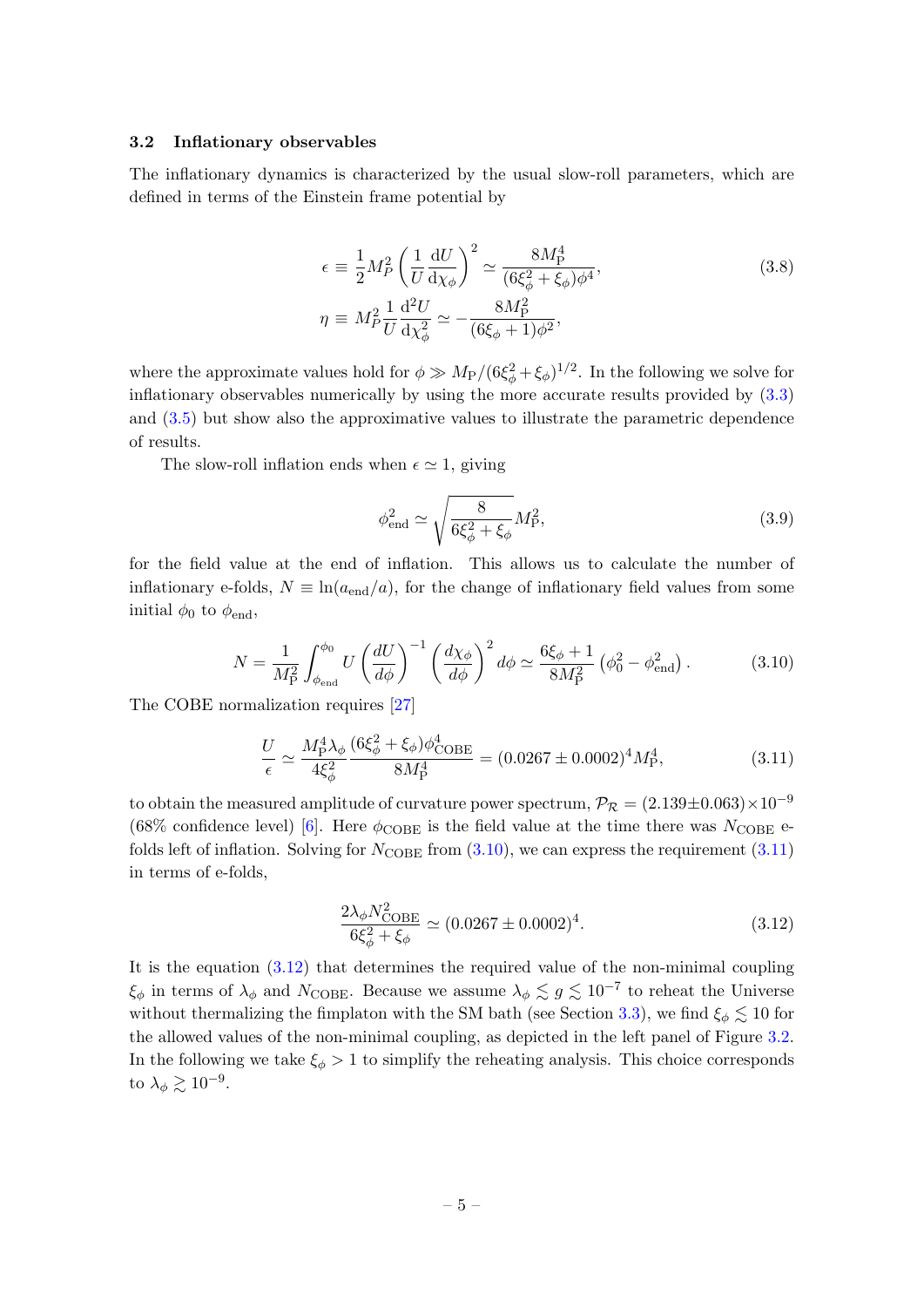#### <span id="page-5-0"></span>3.2 Inflationary observables

The inflationary dynamics is characterized by the usual slow-roll parameters, which are defined in terms of the Einstein frame potential by

$$
\epsilon \equiv \frac{1}{2} M_P^2 \left( \frac{1}{U} \frac{dU}{d\chi_\phi} \right)^2 \simeq \frac{8M_P^4}{(6\xi_\phi^2 + \xi_\phi)\phi^4},
$$
\n
$$
\eta \equiv M_P^2 \frac{1}{U} \frac{d^2 U}{d\chi_\phi^2} \simeq -\frac{8M_P^2}{(6\xi_\phi + 1)\phi^2},
$$
\n(3.8)

where the approximate values hold for  $\phi \gg M_P/(6\xi_\phi^2 + \xi_\phi)^{1/2}$ . In the following we solve for inflationary observables numerically by using the more accurate results provided by [\(3.3\)](#page-4-0) and [\(3.5\)](#page-4-1) but show also the approximative values to illustrate the parametric dependence of results.

The slow-roll inflation ends when  $\epsilon \simeq 1$ , giving

<span id="page-5-4"></span>
$$
\phi_{\text{end}}^2 \simeq \sqrt{\frac{8}{6\xi_{\phi}^2 + \xi_{\phi}}} M_{\text{P}}^2,\tag{3.9}
$$

for the field value at the end of inflation. This allows us to calculate the number of inflationary e-folds,  $N \equiv \ln(a_{\text{end}}/a)$ , for the change of inflationary field values from some initial  $\phi_0$  to  $\phi_{end}$ ,

<span id="page-5-1"></span>
$$
N = \frac{1}{M_P^2} \int_{\phi_{\text{end}}}^{\phi_0} U \left(\frac{dU}{d\phi}\right)^{-1} \left(\frac{d\chi_{\phi}}{d\phi}\right)^2 d\phi \simeq \frac{6\xi_{\phi} + 1}{8M_P^2} \left(\phi_0^2 - \phi_{\text{end}}^2\right). \tag{3.10}
$$

The COBE normalization requires [\[27\]](#page-13-6)

<span id="page-5-2"></span>
$$
\frac{U}{\epsilon} \simeq \frac{M_P^4 \lambda_\phi}{4\xi_\phi^2} \frac{(6\xi_\phi^2 + \xi_\phi)\phi_{\text{COBE}}^4}{8M_P^4} = (0.0267 \pm 0.0002)^4 M_P^4, \tag{3.11}
$$

to obtain the measured amplitude of curvature power spectrum,  $\mathcal{P}_R = (2.139 \pm 0.063) \times 10^{-9}$ (68% confidence level) [\[6\]](#page-12-3). Here  $\phi_{\text{COBE}}$  is the field value at the time there was  $N_{\text{COBE}}$  efolds left of inflation. Solving for  $N_{\text{COBE}}$  from  $(3.10)$ , we can express the requirement  $(3.11)$ in terms of e-folds,

<span id="page-5-3"></span>
$$
\frac{2\lambda_{\phi} N_{\text{COBE}}^2}{6\xi_{\phi}^2 + \xi_{\phi}} \simeq (0.0267 \pm 0.0002)^4. \tag{3.12}
$$

It is the equation [\(3.12\)](#page-5-3) that determines the required value of the non-minimal coupling  $\xi_{\phi}$  in terms of  $\lambda_{\phi}$  and  $N_{\text{COBE}}$ . Because we assume  $\lambda_{\phi} \lesssim g \lesssim 10^{-7}$  to reheat the Universe without thermalizing the fimplaton with the SM bath (see Section [3.3\)](#page-7-0), we find  $\xi_{\phi} \lesssim 10$  for the allowed values of the non-minimal coupling, as depicted in the left panel of Figure [3.2.](#page-6-0) In the following we take  $\xi_{\phi} > 1$  to simplify the reheating analysis. This choice corresponds to  $\lambda_{\phi} \gtrsim 10^{-9}$ .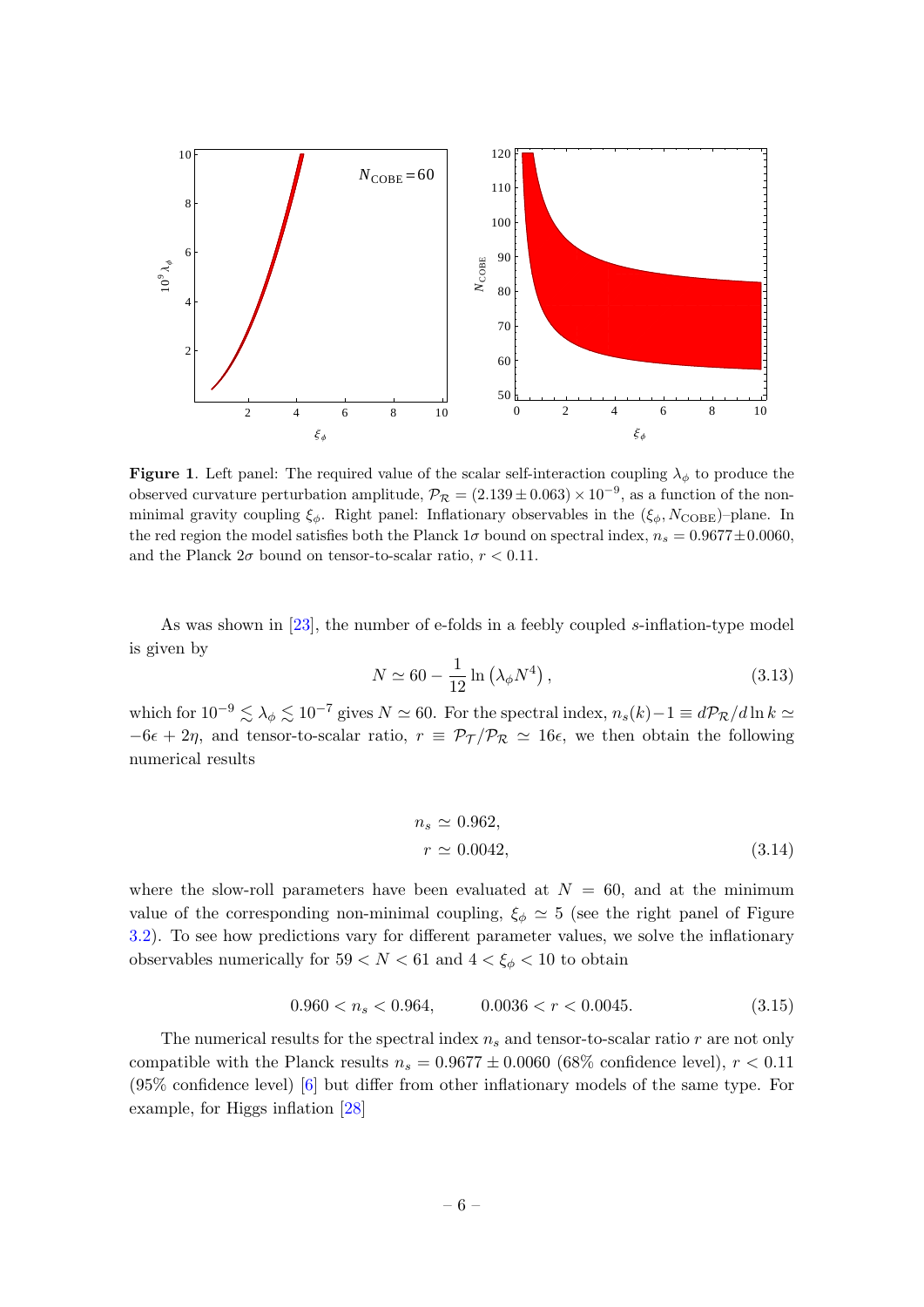

<span id="page-6-0"></span>**Figure 1.** Left panel: The required value of the scalar self-interaction coupling  $\lambda_{\phi}$  to produce the observed curvature perturbation amplitude,  $\mathcal{P}_{\mathcal{R}} = (2.139 \pm 0.063) \times 10^{-9}$ , as a function of the nonminimal gravity coupling  $\xi_{\phi}$ . Right panel: Inflationary observables in the  $(\xi_{\phi}, N_{\text{COBE}})$ –plane. In the red region the model satisfies both the Planck  $1\sigma$  bound on spectral index,  $n_s = 0.9677 \pm 0.0060$ , and the Planck  $2\sigma$  bound on tensor-to-scalar ratio,  $r < 0.11$ .

As was shown in [\[23\]](#page-13-2), the number of e-folds in a feebly coupled s-inflation-type model is given by

$$
N \simeq 60 - \frac{1}{12} \ln \left( \lambda_{\phi} N^4 \right), \qquad (3.13)
$$

which for  $10^{-9} \lesssim \lambda_{\phi} \lesssim 10^{-7}$  gives  $N \simeq 60$ . For the spectral index,  $n_s(k)-1 \equiv d\mathcal{P}_R/d\ln k \simeq$  $-6\epsilon + 2\eta$ , and tensor-to-scalar ratio,  $r = \mathcal{P}_T/\mathcal{P}_R \simeq 16\epsilon$ , we then obtain the following numerical results

$$
n_s \simeq 0.962,
$$
  
\n
$$
r \simeq 0.0042,
$$
\n(3.14)

where the slow-roll parameters have been evaluated at  $N = 60$ , and at the minimum value of the corresponding non-minimal coupling,  $\xi_{\phi} \simeq 5$  (see the right panel of Figure [3.2\)](#page-6-0). To see how predictions vary for different parameter values, we solve the inflationary observables numerically for  $59 < N < 61$  and  $4 < \xi_{\phi} < 10$  to obtain

$$
0.960 < n_s < 0.964, \qquad 0.0036 < r < 0.0045. \tag{3.15}
$$

The numerical results for the spectral index  $n_s$  and tensor-to-scalar ratio r are not only compatible with the Planck results  $n_s = 0.9677 \pm 0.0060$  (68% confidence level),  $r < 0.11$ (95% confidence level) [\[6\]](#page-12-3) but differ from other inflationary models of the same type. For example, for Higgs inflation [\[28\]](#page-13-7)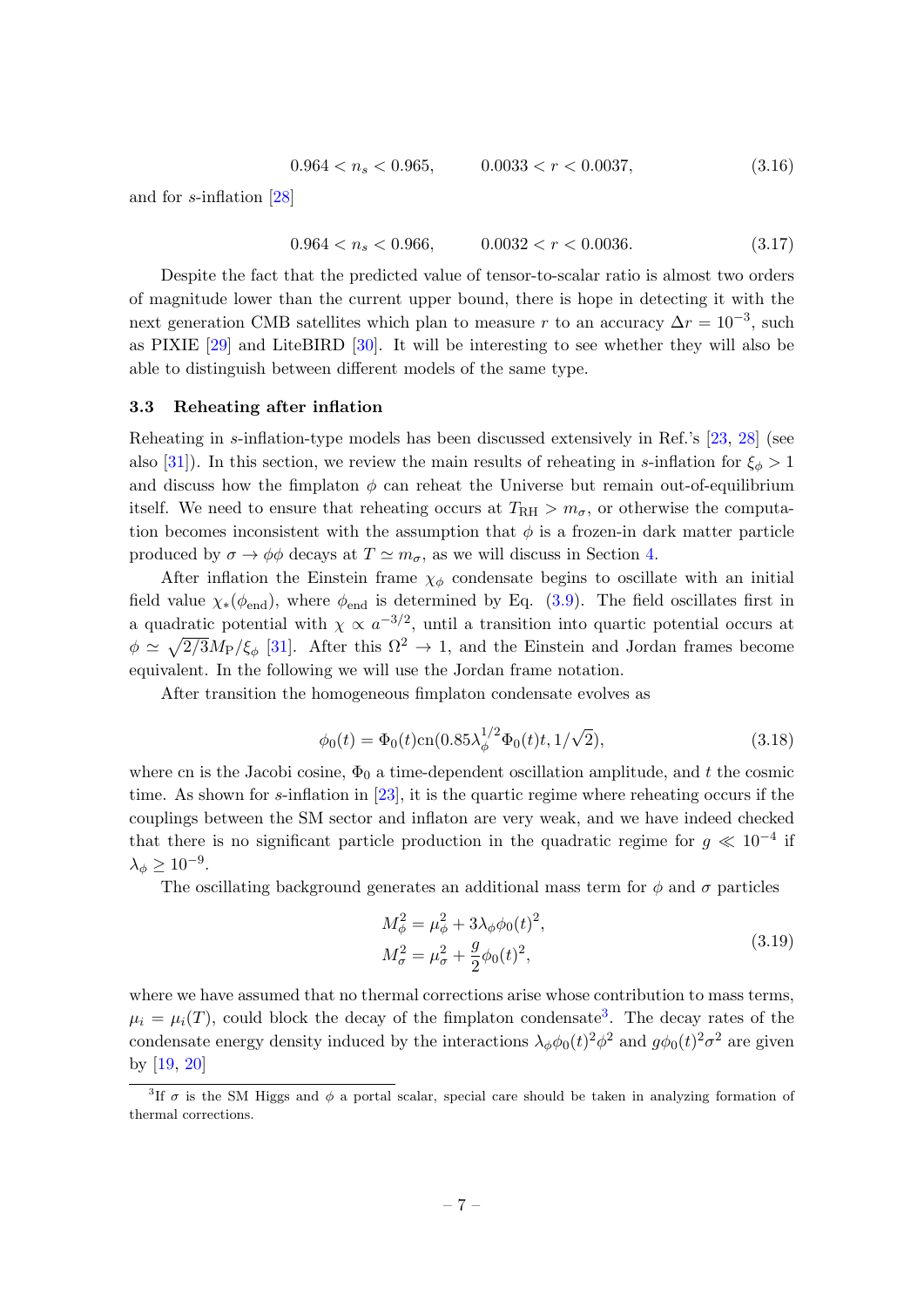$$
0.964 < n_s < 0.965, \qquad 0.0033 < r < 0.0037, \tag{3.16}
$$

and for s-inflation [\[28\]](#page-13-7)

$$
0.964 < n_s < 0.966, \qquad 0.0032 < r < 0.0036. \tag{3.17}
$$

Despite the fact that the predicted value of tensor-to-scalar ratio is almost two orders of magnitude lower than the current upper bound, there is hope in detecting it with the next generation CMB satellites which plan to measure r to an accuracy  $\Delta r = 10^{-3}$ , such as PIXIE [\[29\]](#page-13-8) and LiteBIRD [\[30\]](#page-13-9). It will be interesting to see whether they will also be able to distinguish between different models of the same type.

#### <span id="page-7-0"></span>3.3 Reheating after inflation

Reheating in s-inflation-type models has been discussed extensively in Ref.'s [\[23,](#page-13-2) [28\]](#page-13-7) (see also [\[31\]](#page-13-10)). In this section, we review the main results of reheating in s-inflation for  $\xi_{\phi} > 1$ and discuss how the fimplaton  $\phi$  can reheat the Universe but remain out-of-equilibrium itself. We need to ensure that reheating occurs at  $T_{\rm RH} > m_{\sigma}$ , or otherwise the computation becomes inconsistent with the assumption that  $\phi$  is a frozen-in dark matter particle produced by  $\sigma \to \phi \phi$  decays at  $T \simeq m_{\sigma}$ , as we will discuss in Section [4.](#page-9-0)

After inflation the Einstein frame  $\chi_{\phi}$  condensate begins to oscillate with an initial field value  $\chi_*(\phi_{end})$ , where  $\phi_{end}$  is determined by Eq. [\(3.9\)](#page-5-4). The field oscillates first in a quadratic potential with  $\chi \propto a^{-3/2}$ , until a transition into quartic potential occurs at  $\phi \simeq \sqrt{2/3}M_P/\xi_\phi$  [\[31\]](#page-13-10). After this  $\Omega^2 \to 1$ , and the Einstein and Jordan frames become equivalent. In the following we will use the Jordan frame notation.

After transition the homogeneous fimplaton condensate evolves as

$$
\phi_0(t) = \Phi_0(t) \text{cn}(0.85 \lambda_\phi^{1/2} \Phi_0(t) t, 1/\sqrt{2}), \tag{3.18}
$$

where cn is the Jacobi cosine,  $\Phi_0$  a time-dependent oscillation amplitude, and t the cosmic time. As shown for s-inflation in [\[23\]](#page-13-2), it is the quartic regime where reheating occurs if the couplings between the SM sector and inflaton are very weak, and we have indeed checked that there is no significant particle production in the quadratic regime for  $g \ll 10^{-4}$  if  $\lambda_{\phi} \geq 10^{-9}.$ 

The oscillating background generates an additional mass term for  $\phi$  and  $\sigma$  particles

<span id="page-7-2"></span>
$$
M_{\phi}^{2} = \mu_{\phi}^{2} + 3\lambda_{\phi}\phi_{0}(t)^{2},
$$
  
\n
$$
M_{\sigma}^{2} = \mu_{\sigma}^{2} + \frac{g}{2}\phi_{0}(t)^{2},
$$
\n(3.19)

where we have assumed that no thermal corrections arise whose contribution to mass terms,  $\mu_i = \mu_i(T)$ , could block the decay of the fimplaton condensate<sup>[3](#page-7-1)</sup>. The decay rates of the condensate energy density induced by the interactions  $\lambda_{\phi}\phi_0(t)^2\phi^2$  and  $g\phi_0(t)^2\sigma^2$  are given by [\[19,](#page-12-11) [20\]](#page-12-8)

<span id="page-7-1"></span><sup>&</sup>lt;sup>3</sup>If  $\sigma$  is the SM Higgs and  $\phi$  a portal scalar, special care should be taken in analyzing formation of thermal corrections.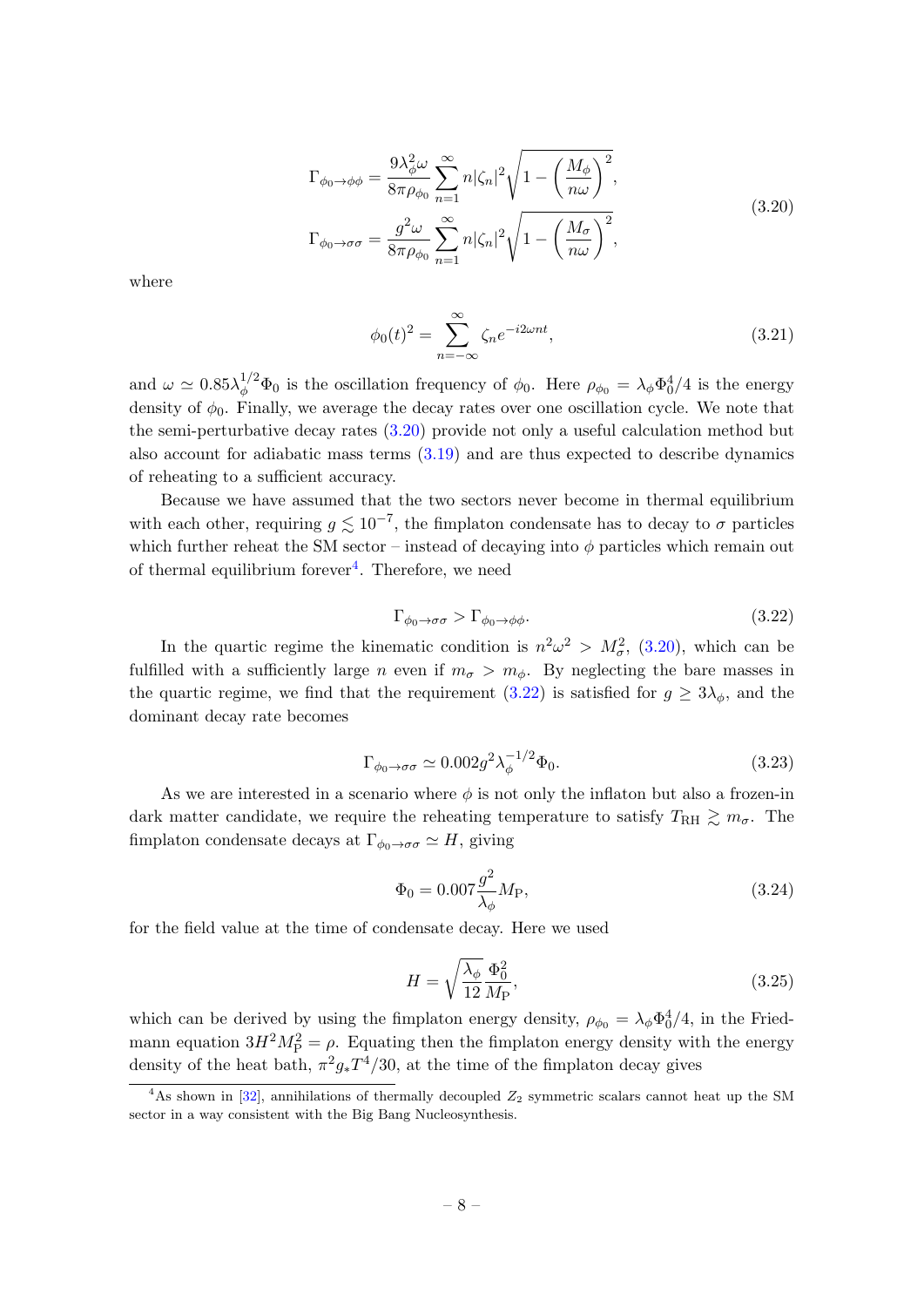<span id="page-8-0"></span>
$$
\Gamma_{\phi_0 \to \phi\phi} = \frac{9\lambda_{\phi}^2 \omega}{8\pi \rho_{\phi_0}} \sum_{n=1}^{\infty} n |\zeta_n|^2 \sqrt{1 - \left(\frac{M_{\phi}}{n\omega}\right)^2},
$$
\n
$$
\Gamma_{\phi_0 \to \sigma\sigma} = \frac{g^2 \omega}{8\pi \rho_{\phi_0}} \sum_{n=1}^{\infty} n |\zeta_n|^2 \sqrt{1 - \left(\frac{M_{\sigma}}{n\omega}\right)^2},
$$
\n(3.20)

where

$$
\phi_0(t)^2 = \sum_{n=-\infty}^{\infty} \zeta_n e^{-i2\omega nt},\tag{3.21}
$$

and  $\omega \simeq 0.85 \lambda_{\phi}^{1/2} \Phi_0$  is the oscillation frequency of  $\phi_0$ . Here  $\rho_{\phi_0} = \lambda_{\phi} \Phi_0^4/4$  is the energy density of  $\phi_0$ . Finally, we average the decay rates over one oscillation cycle. We note that the semi-perturbative decay rates [\(3.20\)](#page-8-0) provide not only a useful calculation method but also account for adiabatic mass terms [\(3.19\)](#page-7-2) and are thus expected to describe dynamics of reheating to a sufficient accuracy.

Because we have assumed that the two sectors never become in thermal equilibrium with each other, requiring  $g \lesssim 10^{-7}$ , the fimplaton condensate has to decay to  $\sigma$  particles which further reheat the SM sector – instead of decaying into  $\phi$  particles which remain out of thermal equilibrium forever<sup>[4](#page-8-1)</sup>. Therefore, we need

<span id="page-8-2"></span>
$$
\Gamma_{\phi_0 \to \sigma \sigma} > \Gamma_{\phi_0 \to \phi \phi}.\tag{3.22}
$$

In the quartic regime the kinematic condition is  $n^2\omega^2 > M_{\sigma}^2$ , [\(3.20\)](#page-8-0), which can be fulfilled with a sufficiently large n even if  $m_{\sigma} > m_{\phi}$ . By neglecting the bare masses in the quartic regime, we find that the requirement  $(3.22)$  is satisfied for  $g \geq 3\lambda_{\phi}$ , and the dominant decay rate becomes

$$
\Gamma_{\phi_0 \to \sigma \sigma} \simeq 0.002 g^2 \lambda_{\phi}^{-1/2} \Phi_0. \tag{3.23}
$$

As we are interested in a scenario where  $\phi$  is not only the inflaton but also a frozen-in dark matter candidate, we require the reheating temperature to satisfy  $T_{\text{RH}} \gtrsim m_{\sigma}$ . The fimplaton condensate decays at  $\Gamma_{\phi_0 \to \sigma \sigma} \simeq H$ , giving

$$
\Phi_0 = 0.007 \frac{g^2}{\lambda_\phi} M_{\rm P},\tag{3.24}
$$

for the field value at the time of condensate decay. Here we used

$$
H = \sqrt{\frac{\lambda_{\phi}}{12}} \frac{\Phi_0^2}{M_{\rm P}},\tag{3.25}
$$

which can be derived by using the fimplaton energy density,  $\rho_{\phi_0} = \lambda_{\phi} \Phi_0^4/4$ , in the Friedmann equation  $3H^2M_P^2 = \rho$ . Equating then the fimplaton energy density with the energy density of the heat bath,  $\pi^2 g_* T^4/30$ , at the time of the fimplaton decay gives

<span id="page-8-1"></span><sup>&</sup>lt;sup>4</sup>As shown in [\[32\]](#page-13-11), annihilations of thermally decoupled  $Z_2$  symmetric scalars cannot heat up the SM sector in a way consistent with the Big Bang Nucleosynthesis.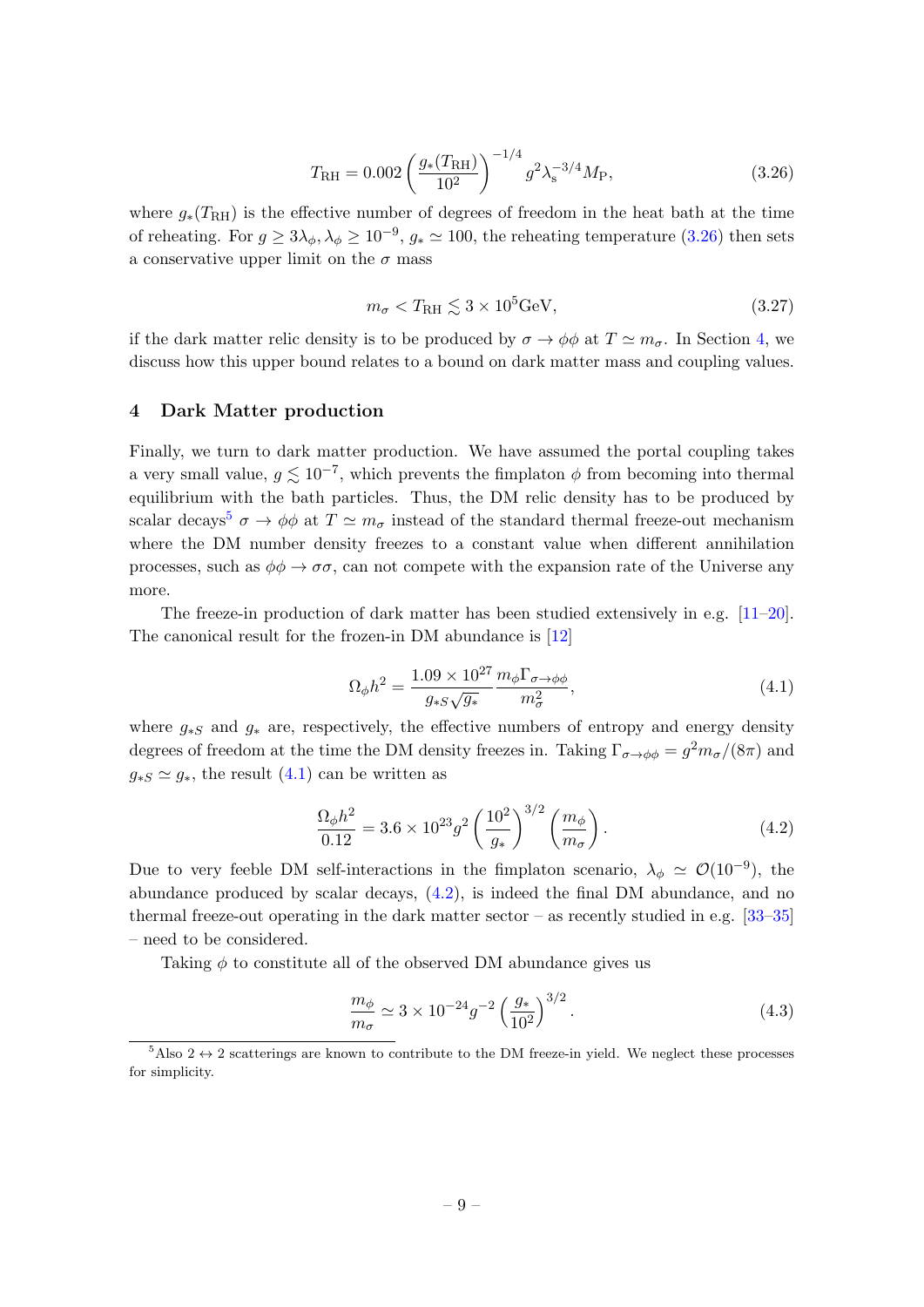<span id="page-9-1"></span>
$$
T_{\rm RH} = 0.002 \left(\frac{g_*(T_{\rm RH})}{10^2}\right)^{-1/4} g^2 \lambda_s^{-3/4} M_{\rm P},\tag{3.26}
$$

where  $g_*(T_{\rm RH})$  is the effective number of degrees of freedom in the heat bath at the time of reheating. For  $g \ge 3\lambda_{\phi}, \lambda_{\phi} \ge 10^{-9}$ ,  $g_* \simeq 100$ , the reheating temperature  $(3.26)$  then sets a conservative upper limit on the  $\sigma$  mass

<span id="page-9-6"></span>
$$
m_{\sigma} < T_{\rm RH} \lesssim 3 \times 10^5 \,\text{GeV},\tag{3.27}
$$

if the dark matter relic density is to be produced by  $\sigma \to \phi \phi$  at  $T \simeq m_{\sigma}$ . In Section [4,](#page-9-0) we discuss how this upper bound relates to a bound on dark matter mass and coupling values.

## <span id="page-9-0"></span>4 Dark Matter production

Finally, we turn to dark matter production. We have assumed the portal coupling takes a very small value,  $g \lesssim 10^{-7}$ , which prevents the fimplaton  $\phi$  from becoming into thermal equilibrium with the bath particles. Thus, the DM relic density has to be produced by scalar decays<sup>[5](#page-9-2)</sup>  $\sigma \to \phi \phi$  at  $T \simeq m_{\sigma}$  instead of the standard thermal freeze-out mechanism where the DM number density freezes to a constant value when different annihilation processes, such as  $\phi \phi \to \sigma \sigma$ , can not compete with the expansion rate of the Universe any more.

The freeze-in production of dark matter has been studied extensively in e.g. [\[11–](#page-12-7)[20\]](#page-12-8). The canonical result for the frozen-in DM abundance is [\[12\]](#page-12-9)

<span id="page-9-3"></span>
$$
\Omega_{\phi}h^2 = \frac{1.09 \times 10^{27}}{g_{*S}\sqrt{g_*}} \frac{m_{\phi}\Gamma_{\sigma \to \phi\phi}}{m_{\sigma}^2},\tag{4.1}
$$

where  $g_{*S}$  and  $g_{*}$  are, respectively, the effective numbers of entropy and energy density degrees of freedom at the time the DM density freezes in. Taking  $\Gamma_{\sigma \to \phi \phi} = g^2 m_{\sigma}/(8\pi)$  and  $g_{*S} \simeq g_*$ , the result [\(4.1\)](#page-9-3) can be written as

<span id="page-9-4"></span>
$$
\frac{\Omega_{\phi}h^2}{0.12} = 3.6 \times 10^{23} g^2 \left(\frac{10^2}{g_*}\right)^{3/2} \left(\frac{m_{\phi}}{m_{\sigma}}\right). \tag{4.2}
$$

Due to very feeble DM self-interactions in the fimplaton scenario,  $\lambda_{\phi} \simeq \mathcal{O}(10^{-9})$ , the abundance produced by scalar decays, [\(4.2\)](#page-9-4), is indeed the final DM abundance, and no thermal freeze-out operating in the dark matter sector – as recently studied in e.g.  $[33-35]$  $[33-35]$ – need to be considered.

Taking  $\phi$  to constitute all of the observed DM abundance gives us

<span id="page-9-5"></span>
$$
\frac{m_{\phi}}{m_{\sigma}} \simeq 3 \times 10^{-24} g^{-2} \left(\frac{g_{*}}{10^{2}}\right)^{3/2}.
$$
\n(4.3)

<span id="page-9-2"></span> $5$ Also 2  $\leftrightarrow$  2 scatterings are known to contribute to the DM freeze-in yield. We neglect these processes for simplicity.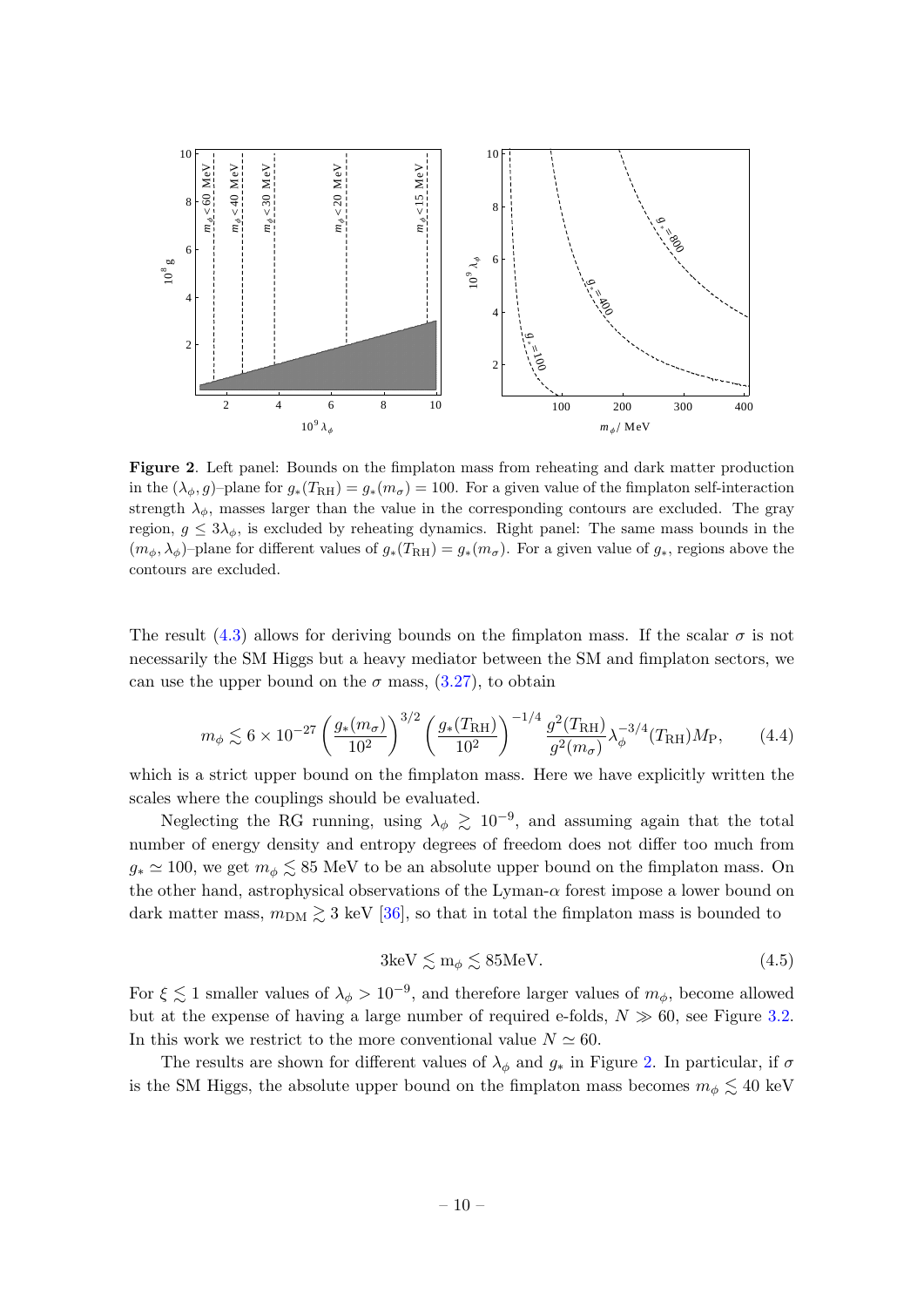

<span id="page-10-0"></span>Figure 2. Left panel: Bounds on the fimplaton mass from reheating and dark matter production in the  $(\lambda_{\phi}, g)$ –plane for  $g_*(T_{\rm RH}) = g_*(m_{\sigma}) = 100$ . For a given value of the fimplaton self-interaction strength  $\lambda_{\phi}$ , masses larger than the value in the corresponding contours are excluded. The gray region,  $g \leq 3\lambda_{\phi}$ , is excluded by reheating dynamics. Right panel: The same mass bounds in the  $(m_{\phi}, \lambda_{\phi})$ –plane for different values of  $g_*(T_{\rm RH}) = g_*(m_{\sigma})$ . For a given value of  $g_*,$  regions above the contours are excluded.

The result [\(4.3\)](#page-9-5) allows for deriving bounds on the fimplaton mass. If the scalar  $\sigma$  is not necessarily the SM Higgs but a heavy mediator between the SM and fimplaton sectors, we can use the upper bound on the  $\sigma$  mass,  $(3.27)$ , to obtain

$$
m_{\phi} \lesssim 6 \times 10^{-27} \left(\frac{g_*(m_{\sigma})}{10^2}\right)^{3/2} \left(\frac{g_*(T_{\rm RH})}{10^2}\right)^{-1/4} \frac{g^2(T_{\rm RH})}{g^2(m_{\sigma})} \lambda_{\phi}^{-3/4}(T_{\rm RH}) M_{\rm P},\tag{4.4}
$$

which is a strict upper bound on the fimplaton mass. Here we have explicitly written the scales where the couplings should be evaluated.

Neglecting the RG running, using  $\lambda_{\phi} \gtrsim 10^{-9}$ , and assuming again that the total number of energy density and entropy degrees of freedom does not differ too much from  $g_* \simeq 100$ , we get  $m_\phi \lesssim 85$  MeV to be an absolute upper bound on the fimplaton mass. On the other hand, astrophysical observations of the Lyman- $\alpha$  forest impose a lower bound on dark matter mass,  $m_{\text{DM}} \gtrsim 3$  keV [\[36\]](#page-13-14), so that in total the fimplaton mass is bounded to

$$
3\text{keV} \lesssim \text{m}_{\phi} \lesssim 85\text{MeV}.\tag{4.5}
$$

For  $\xi \lesssim 1$  smaller values of  $\lambda_{\phi} > 10^{-9}$ , and therefore larger values of  $m_{\phi}$ , become allowed but at the expense of having a large number of required e-folds,  $N \gg 60$ , see Figure [3.2.](#page-6-0) In this work we restrict to the more conventional value  $N \simeq 60$ .

The results are shown for different values of  $\lambda_{\phi}$  and  $g_*$  in Figure [2.](#page-10-0) In particular, if  $\sigma$ is the SM Higgs, the absolute upper bound on the fimplaton mass becomes  $m_{\phi} \lesssim 40 \text{ keV}$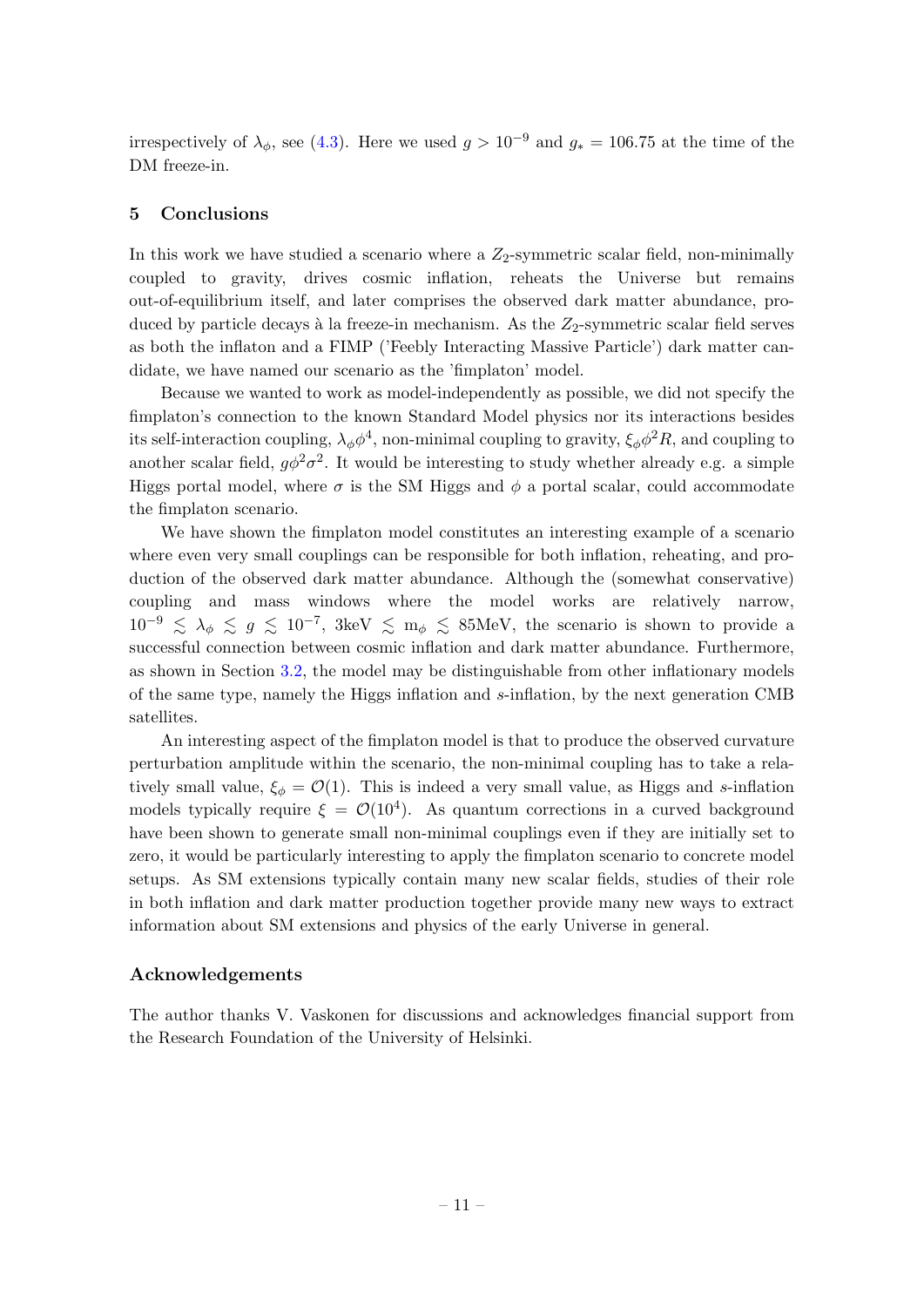irrespectively of  $\lambda_{\phi}$ , see [\(4.3\)](#page-9-5). Here we used  $g > 10^{-9}$  and  $g_* = 106.75$  at the time of the DM freeze-in.

## <span id="page-11-0"></span>5 Conclusions

In this work we have studied a scenario where a  $Z_2$ -symmetric scalar field, non-minimally coupled to gravity, drives cosmic inflation, reheats the Universe but remains out-of-equilibrium itself, and later comprises the observed dark matter abundance, produced by particle decays à la freeze-in mechanism. As the  $Z_2$ -symmetric scalar field serves as both the inflaton and a FIMP ('Feebly Interacting Massive Particle') dark matter candidate, we have named our scenario as the 'fimplaton' model.

Because we wanted to work as model-independently as possible, we did not specify the fimplaton's connection to the known Standard Model physics nor its interactions besides its self-interaction coupling,  $\lambda_{\phi}\phi^4$ , non-minimal coupling to gravity,  $\xi_{\phi}\phi^2 R$ , and coupling to another scalar field,  $g\phi^2\sigma^2$ . It would be interesting to study whether already e.g. a simple Higgs portal model, where  $\sigma$  is the SM Higgs and  $\phi$  a portal scalar, could accommodate the fimplaton scenario.

We have shown the fimplaton model constitutes an interesting example of a scenario where even very small couplings can be responsible for both inflation, reheating, and production of the observed dark matter abundance. Although the (somewhat conservative) coupling and mass windows where the model works are relatively narrow,  $10^{-9} \le \lambda_{\phi} \le g \le 10^{-7}$ , 3keV  $\le m_{\phi} \le$  85MeV, the scenario is shown to provide a successful connection between cosmic inflation and dark matter abundance. Furthermore, as shown in Section [3.2,](#page-5-0) the model may be distinguishable from other inflationary models of the same type, namely the Higgs inflation and s-inflation, by the next generation CMB satellites.

An interesting aspect of the fimplaton model is that to produce the observed curvature perturbation amplitude within the scenario, the non-minimal coupling has to take a relatively small value,  $\xi_{\phi} = \mathcal{O}(1)$ . This is indeed a very small value, as Higgs and s-inflation models typically require  $\xi = \mathcal{O}(10^4)$ . As quantum corrections in a curved background have been shown to generate small non-minimal couplings even if they are initially set to zero, it would be particularly interesting to apply the fimplaton scenario to concrete model setups. As SM extensions typically contain many new scalar fields, studies of their role in both inflation and dark matter production together provide many new ways to extract information about SM extensions and physics of the early Universe in general.

## Acknowledgements

The author thanks V. Vaskonen for discussions and acknowledges financial support from the Research Foundation of the University of Helsinki.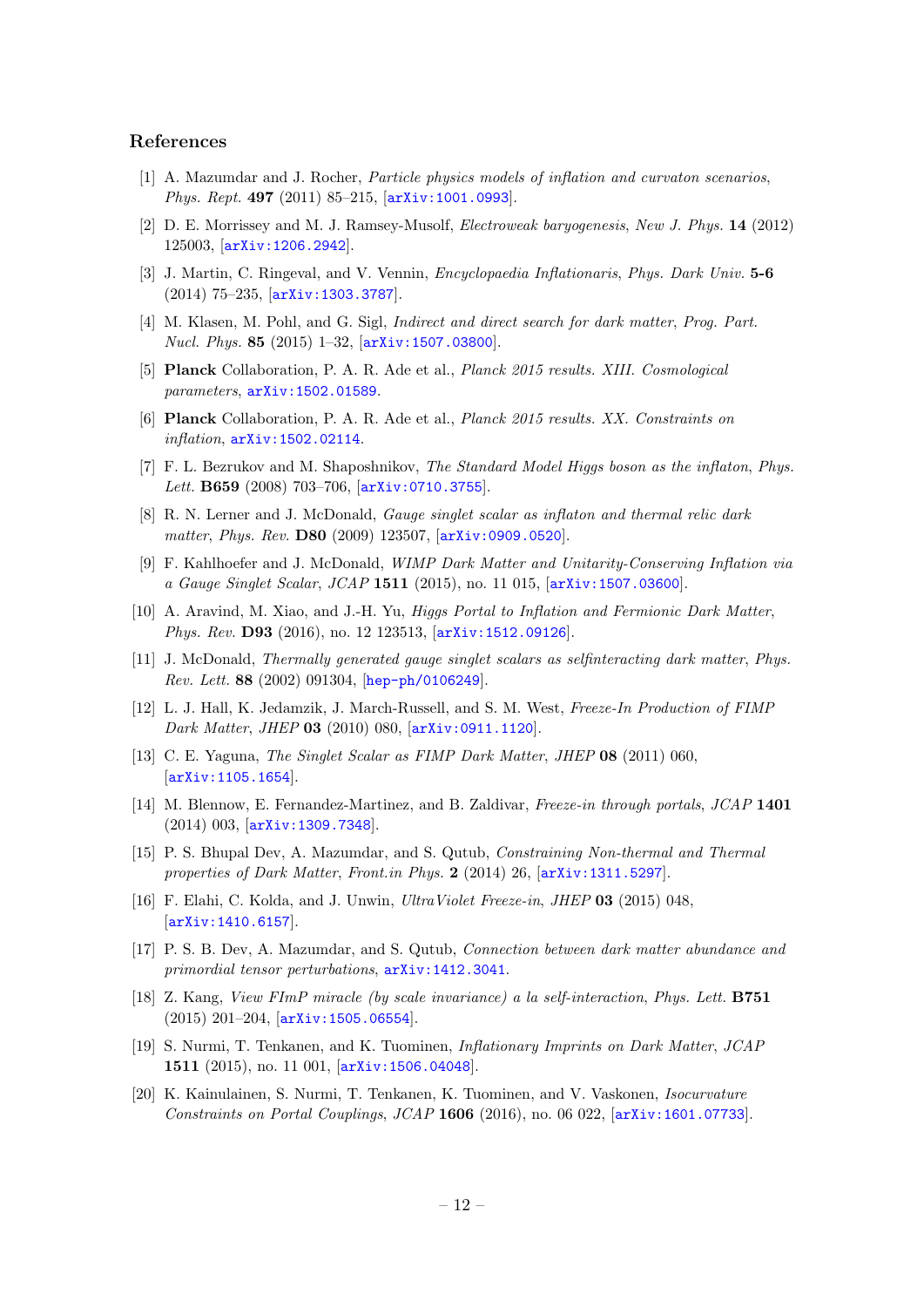## References

- <span id="page-12-0"></span>[1] A. Mazumdar and J. Rocher, Particle physics models of inflation and curvaton scenarios, Phys. Rept. 497 (2011) 85-215, [[arXiv:1001.0993](http://arxiv.org/abs/1001.0993)].
- [2] D. E. Morrissey and M. J. Ramsey-Musolf, Electroweak baryogenesis, New J. Phys. 14 (2012) 125003, [[arXiv:1206.2942](http://arxiv.org/abs/1206.2942)].
- [3] J. Martin, C. Ringeval, and V. Vennin, Encyclopaedia Inflationaris, Phys. Dark Univ. 5-6 (2014) 75–235, [[arXiv:1303.3787](http://arxiv.org/abs/1303.3787)].
- <span id="page-12-1"></span>[4] M. Klasen, M. Pohl, and G. Sigl, Indirect and direct search for dark matter, Prog. Part. Nucl. Phys. 85 (2015) 1–32, [[arXiv:1507.03800](http://arxiv.org/abs/1507.03800)].
- <span id="page-12-2"></span>[5] Planck Collaboration, P. A. R. Ade et al., Planck 2015 results. XIII. Cosmological parameters, [arXiv:1502.01589](http://arxiv.org/abs/1502.01589).
- <span id="page-12-3"></span>[6] Planck Collaboration, P. A. R. Ade et al., Planck 2015 results. XX. Constraints on inflation, [arXiv:1502.02114](http://arxiv.org/abs/1502.02114).
- <span id="page-12-4"></span>[7] F. L. Bezrukov and M. Shaposhnikov, The Standard Model Higgs boson as the inflaton, Phys. Lett. **B659** (2008) 703-706,  $\overline{arXiv:0710.3755}$  $\overline{arXiv:0710.3755}$  $\overline{arXiv:0710.3755}$ .
- <span id="page-12-5"></span>[8] R. N. Lerner and J. McDonald, Gauge singlet scalar as inflaton and thermal relic dark matter, Phys. Rev. D80 (2009) 123507, [[arXiv:0909.0520](http://arxiv.org/abs/0909.0520)].
- <span id="page-12-10"></span>[9] F. Kahlhoefer and J. McDonald, WIMP Dark Matter and Unitarity-Conserving Inflation via a Gauge Singlet Scalar, JCAP 1511 (2015), no. 11 015, [[arXiv:1507.03600](http://arxiv.org/abs/1507.03600)].
- <span id="page-12-6"></span>[10] A. Aravind, M. Xiao, and J.-H. Yu, Higgs Portal to Inflation and Fermionic Dark Matter, Phys. Rev. D93 (2016), no. 12 123513, [[arXiv:1512.09126](http://arxiv.org/abs/1512.09126)].
- <span id="page-12-7"></span>[11] J. McDonald, Thermally generated gauge singlet scalars as selfinteracting dark matter, Phys. Rev. Lett. 88 (2002) 091304, [[hep-ph/0106249](http://arxiv.org/abs/hep-ph/0106249)].
- <span id="page-12-9"></span>[12] L. J. Hall, K. Jedamzik, J. March-Russell, and S. M. West, Freeze-In Production of FIMP Dark Matter, JHEP 03 (2010) 080, [[arXiv:0911.1120](http://arxiv.org/abs/0911.1120)].
- [13] C. E. Yaguna, The Singlet Scalar as FIMP Dark Matter, JHEP 08 (2011) 060, [[arXiv:1105.1654](http://arxiv.org/abs/1105.1654)].
- [14] M. Blennow, E. Fernandez-Martinez, and B. Zaldivar, Freeze-in through portals, JCAP 1401 (2014) 003, [[arXiv:1309.7348](http://arxiv.org/abs/1309.7348)].
- [15] P. S. Bhupal Dev, A. Mazumdar, and S. Qutub, Constraining Non-thermal and Thermal properties of Dark Matter, Front.in Phys. 2 (2014) 26,  $[ary:1311.5297]$ .
- [16] F. Elahi, C. Kolda, and J. Unwin, *UltraViolet Freeze-in, JHEP* 03 (2015) 048, [[arXiv:1410.6157](http://arxiv.org/abs/1410.6157)].
- [17] P. S. B. Dev, A. Mazumdar, and S. Qutub, Connection between dark matter abundance and primordial tensor perturbations,  $arXiv:1412.3041$ .
- [18] Z. Kang, View FImP miracle (by scale invariance) a la self-interaction, Phys. Lett. B751 (2015) 201–204, [[arXiv:1505.06554](http://arxiv.org/abs/1505.06554)].
- <span id="page-12-11"></span>[19] S. Nurmi, T. Tenkanen, and K. Tuominen, Inflationary Imprints on Dark Matter, JCAP 1511 (2015), no. 11 001, [[arXiv:1506.04048](http://arxiv.org/abs/1506.04048)].
- <span id="page-12-8"></span>[20] K. Kainulainen, S. Nurmi, T. Tenkanen, K. Tuominen, and V. Vaskonen, Isocurvature Constraints on Portal Couplings, JCAP  $1606$  (2016), no. 06 022,  $\arcsin(1601.07733]$ .